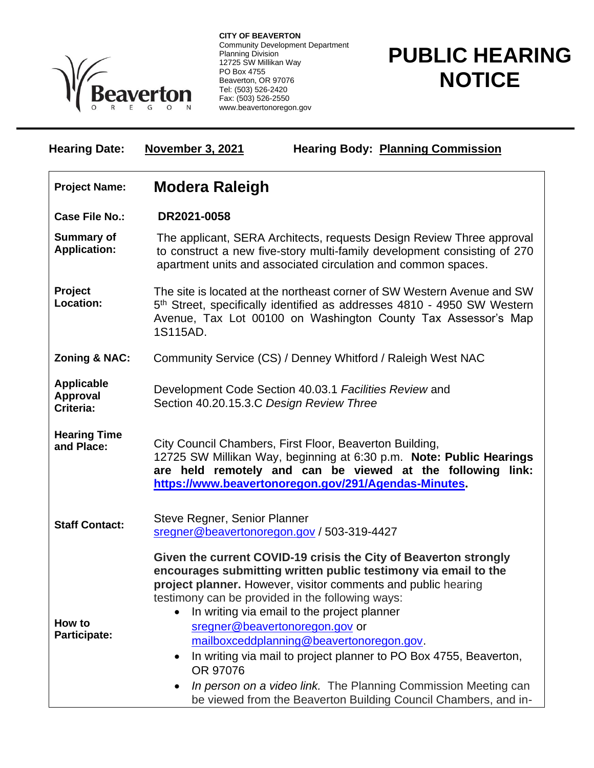

**CITY OF BEAVERTON** Community Development Department Planning Division 12725 SW Millikan Way PO Box 4755 Beaverton, OR 97076 Tel: (503) 526-2420 Fax: (503) 526-2550 www.beavertonoregon.gov

## **PUBLIC HEARING NOTICE**

| <b>November 3, 2021</b><br><b>Hearing Body: Planning Commission</b>                                                                                                                                                                                                                                                                                                                                                                                                                                                                                                                                                                   |
|---------------------------------------------------------------------------------------------------------------------------------------------------------------------------------------------------------------------------------------------------------------------------------------------------------------------------------------------------------------------------------------------------------------------------------------------------------------------------------------------------------------------------------------------------------------------------------------------------------------------------------------|
| <b>Modera Raleigh</b>                                                                                                                                                                                                                                                                                                                                                                                                                                                                                                                                                                                                                 |
| DR2021-0058                                                                                                                                                                                                                                                                                                                                                                                                                                                                                                                                                                                                                           |
| The applicant, SERA Architects, requests Design Review Three approval<br>to construct a new five-story multi-family development consisting of 270<br>apartment units and associated circulation and common spaces.                                                                                                                                                                                                                                                                                                                                                                                                                    |
| The site is located at the northeast corner of SW Western Avenue and SW<br>5 <sup>th</sup> Street, specifically identified as addresses 4810 - 4950 SW Western<br>Avenue, Tax Lot 00100 on Washington County Tax Assessor's Map<br>1S115AD.                                                                                                                                                                                                                                                                                                                                                                                           |
| Community Service (CS) / Denney Whitford / Raleigh West NAC                                                                                                                                                                                                                                                                                                                                                                                                                                                                                                                                                                           |
| Development Code Section 40.03.1 Facilities Review and<br>Section 40.20.15.3.C Design Review Three                                                                                                                                                                                                                                                                                                                                                                                                                                                                                                                                    |
| City Council Chambers, First Floor, Beaverton Building,<br>12725 SW Millikan Way, beginning at 6:30 p.m. Note: Public Hearings<br>are held remotely and can be viewed at the following link:<br>https://www.beavertonoregon.gov/291/Agendas-Minutes.                                                                                                                                                                                                                                                                                                                                                                                  |
| Steve Regner, Senior Planner<br>sregner@beavertonoregon.gov / 503-319-4427                                                                                                                                                                                                                                                                                                                                                                                                                                                                                                                                                            |
| Given the current COVID-19 crisis the City of Beaverton strongly<br>encourages submitting written public testimony via email to the<br>project planner. However, visitor comments and public hearing<br>testimony can be provided in the following ways:<br>In writing via email to the project planner<br>$\bullet$<br>sregner@beavertonoregon.gov or<br>mailboxceddplanning@beavertonoregon.gov.<br>In writing via mail to project planner to PO Box 4755, Beaverton,<br>$\bullet$<br>OR 97076<br>In person on a video link. The Planning Commission Meeting can<br>be viewed from the Beaverton Building Council Chambers, and in- |
|                                                                                                                                                                                                                                                                                                                                                                                                                                                                                                                                                                                                                                       |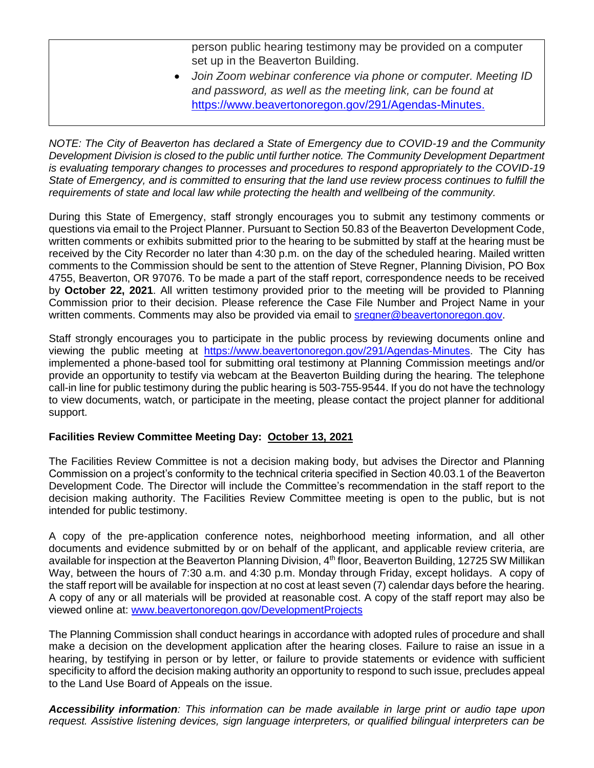person public hearing testimony may be provided on a computer set up in the Beaverton Building.

• *Join Zoom webinar conference via phone or computer. Meeting ID and password, as well as the meeting link, can be found at*  [https://www.beavertonoregon.gov/291/Agendas-Minutes.](https://www.beavertonoregon.gov/291/Agendas-Minutes)

*NOTE: The City of Beaverton has declared a State of Emergency due to COVID-19 and the Community Development Division is closed to the public until further notice. The Community Development Department is evaluating temporary changes to processes and procedures to respond appropriately to the COVID-19 State of Emergency, and is committed to ensuring that the land use review process continues to fulfill the requirements of state and local law while protecting the health and wellbeing of the community.*

During this State of Emergency, staff strongly encourages you to submit any testimony comments or questions via email to the Project Planner. Pursuant to Section 50.83 of the Beaverton Development Code, written comments or exhibits submitted prior to the hearing to be submitted by staff at the hearing must be received by the City Recorder no later than 4:30 p.m. on the day of the scheduled hearing. Mailed written comments to the Commission should be sent to the attention of Steve Regner, Planning Division, PO Box 4755, Beaverton, OR 97076. To be made a part of the staff report, correspondence needs to be received by **October 22, 2021**. All written testimony provided prior to the meeting will be provided to Planning Commission prior to their decision. Please reference the Case File Number and Project Name in your written comments. Comments may also be provided via email to [sregner@beavertonoregon.gov.](mailto:sregner@beavertonoregon.gov)

Staff strongly encourages you to participate in the public process by reviewing documents online and viewing the public meeting at [https://www.beavertonoregon.gov/291/Agendas-Minutes.](https://www.beavertonoregon.gov/291/Agendas-Minutes) The City has implemented a phone-based tool for submitting oral testimony at Planning Commission meetings and/or provide an opportunity to testify via webcam at the Beaverton Building during the hearing. The telephone call-in line for public testimony during the public hearing is 503-755-9544. If you do not have the technology to view documents, watch, or participate in the meeting, please contact the project planner for additional support.

## **Facilities Review Committee Meeting Day: October 13, 2021**

The Facilities Review Committee is not a decision making body, but advises the Director and Planning Commission on a project's conformity to the technical criteria specified in Section 40.03.1 of the Beaverton Development Code. The Director will include the Committee's recommendation in the staff report to the decision making authority. The Facilities Review Committee meeting is open to the public, but is not intended for public testimony.

A copy of the pre-application conference notes, neighborhood meeting information, and all other documents and evidence submitted by or on behalf of the applicant, and applicable review criteria, are available for inspection at the Beaverton Planning Division, 4<sup>th</sup> floor, Beaverton Building, 12725 SW Millikan Way, between the hours of 7:30 a.m. and 4:30 p.m. Monday through Friday, except holidays. A copy of the staff report will be available for inspection at no cost at least seven (7) calendar days before the hearing. A copy of any or all materials will be provided at reasonable cost. A copy of the staff report may also be viewed online at: [www.beavertonoregon.gov/DevelopmentProjects](http://www.beavertonoregon.gov/DevelopmentProjects)

The Planning Commission shall conduct hearings in accordance with adopted rules of procedure and shall make a decision on the development application after the hearing closes. Failure to raise an issue in a hearing, by testifying in person or by letter, or failure to provide statements or evidence with sufficient specificity to afford the decision making authority an opportunity to respond to such issue, precludes appeal to the Land Use Board of Appeals on the issue.

*Accessibility information: This information can be made available in large print or audio tape upon request. Assistive listening devices, sign language interpreters, or qualified bilingual interpreters can be*